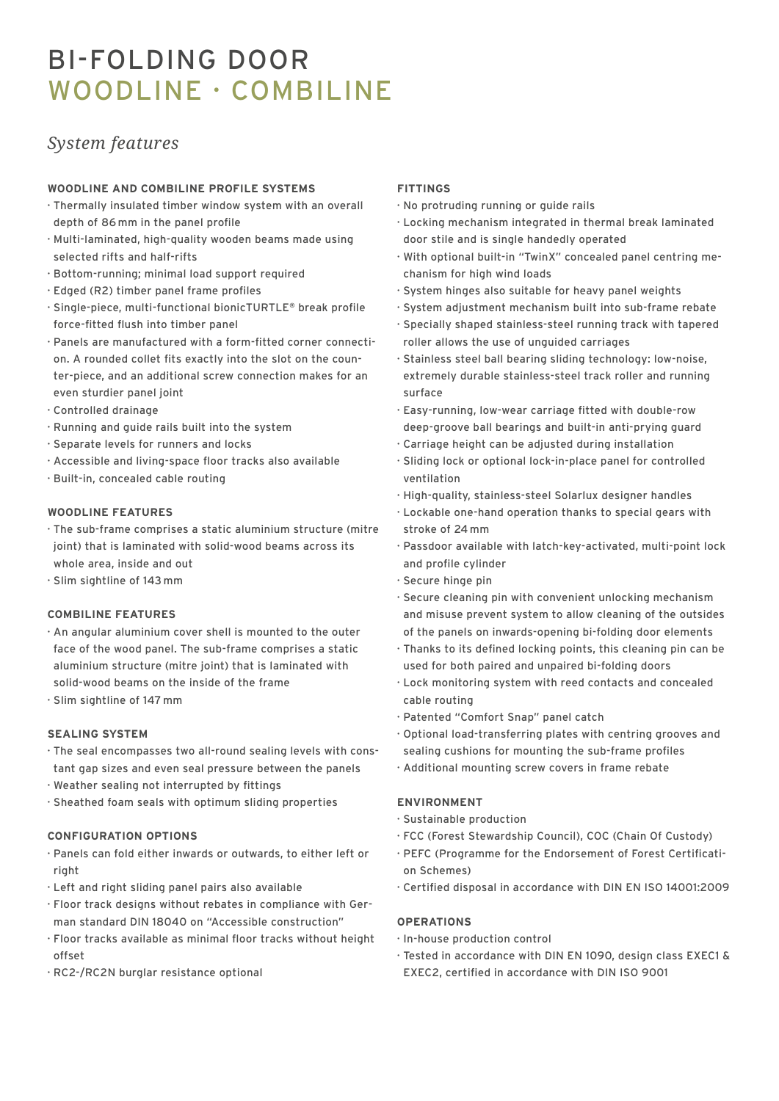# BI-FOLDING DOOR WOODLINE · COMBILINE

## *System features*

#### **WOODLINE AND COMBILINE PROFILE SYSTEMS**

- · Thermally insulated timber window system with an overall depth of 86 mm in the panel profile
- · Multi-laminated, high-quality wooden beams made using selected rifts and half-rifts
- · Bottom-running; minimal load support required
- · Edged (R2) timber panel frame profiles
- · Single-piece, multi-functional bionicTURTLE**®** break profile force-fitted flush into timber panel
- · Panels are manufactured with a form-fitted corner connection. A rounded collet fits exactly into the slot on the counter-piece, and an additional screw connection makes for an even sturdier panel joint
- · Controlled drainage
- · Running and guide rails built into the system
- · Separate levels for runners and locks
- · Accessible and living-space floor tracks also available
- · Built-in, concealed cable routing

#### **WOODLINE FEATURES**

- · The sub-frame comprises a static aluminium structure (mitre joint) that is laminated with solid-wood beams across its whole area, inside and out
- · Slim sightline of 143 mm

#### **COMBILINE FEATURES**

- · An angular aluminium cover shell is mounted to the outer face of the wood panel. The sub-frame comprises a static aluminium structure (mitre joint) that is laminated with solid-wood beams on the inside of the frame
- · Slim sightline of 147 mm

#### **SEALING SYSTEM**

- · The seal encompasses two all-round sealing levels with constant gap sizes and even seal pressure between the panels
- · Weather sealing not interrupted by fittings
- · Sheathed foam seals with optimum sliding properties

#### **CONFIGURATION OPTIONS**

- · Panels can fold either inwards or outwards, to either left or right
- · Left and right sliding panel pairs also available
- · Floor track designs without rebates in compliance with German standard DIN 18040 on "Accessible construction"
- · Floor tracks available as minimal floor tracks without height offset
- · RC2-/RC2N burglar resistance optional

#### **FITTINGS**

- · No protruding running or guide rails
- · Locking mechanism integrated in thermal break laminated door stile and is single handedly operated
- · With optional built-in "TwinX" concealed panel centring mechanism for high wind loads
- · System hinges also suitable for heavy panel weights
- · System adjustment mechanism built into sub-frame rebate
- · Specially shaped stainless-steel running track with tapered roller allows the use of unguided carriages
- · Stainless steel ball bearing sliding technology: low-noise, extremely durable stainless-steel track roller and running surface
- · Easy-running, low-wear carriage fitted with double-row deep-groove ball bearings and built-in anti-prying guard
- · Carriage height can be adjusted during installation
- · Sliding lock or optional lock-in-place panel for controlled ventilation
- · High-quality, stainless-steel Solarlux designer handles
- · Lockable one-hand operation thanks to special gears with stroke of 24 mm
- · Passdoor available with latch-key-activated, multi-point lock and profile cylinder
- · Secure hinge pin
- · Secure cleaning pin with convenient unlocking mechanism and misuse prevent system to allow cleaning of the outsides of the panels on inwards-opening bi-folding door elements
- · Thanks to its defined locking points, this cleaning pin can be used for both paired and unpaired bi-folding doors
- · Lock monitoring system with reed contacts and concealed cable routing
- · Patented "Comfort Snap" panel catch
- · Optional load-transferring plates with centring grooves and sealing cushions for mounting the sub-frame profiles
- · Additional mounting screw covers in frame rebate

### **ENVIRONMENT**

- · Sustainable production
- · FCC (Forest Stewardship Council), COC (Chain Of Custody)
- · PEFC (Programme for the Endorsement of Forest Certification Schemes)
- · Certified disposal in accordance with DIN EN ISO 14001:2009

#### **OPERATIONS**

- · In-house production control
- · Tested in accordance with DIN EN 1090, design class EXEC1 & EXEC2, certified in accordance with DIN ISO 9001